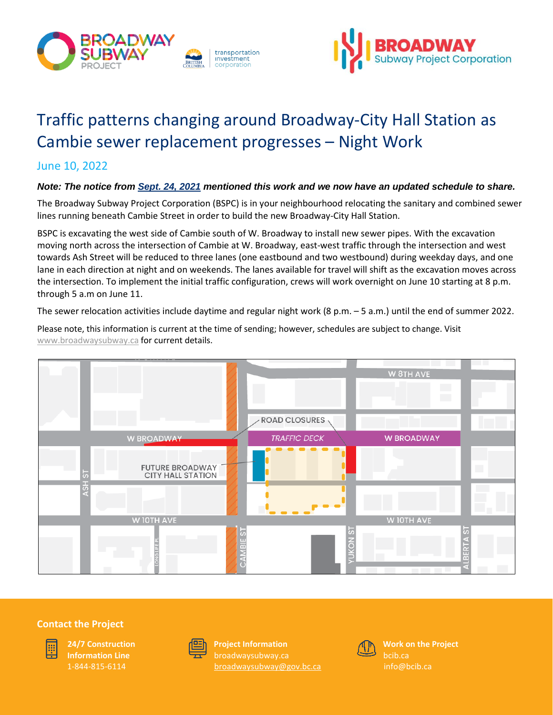



# Traffic patterns changing around Broadway-City Hall Station as Cambie sewer replacement progresses – Night Work

## June 10, 2022

### *Note: The notice from [Sept. 24, 2021](https://www.broadwaysubway.ca/app/uploads/sites/626/2021/10/BCH-Cambie-sewer-relocation-UPDATED-Sept24.pdf) mentioned this work and we now have an updated schedule to share.*

The Broadway Subway Project Corporation (BSPC) is in your neighbourhood relocating the sanitary and combined sewer lines running beneath Cambie Street in order to build the new Broadway-City Hall Station.

BSPC is excavating the west side of Cambie south of W. Broadway to install new sewer pipes. With the excavation moving north across the intersection of Cambie at W. Broadway, east-west traffic through the intersection and west towards Ash Street will be reduced to three lanes (one eastbound and two westbound) during weekday days, and one lane in each direction at night and on weekends. The lanes available for travel will shift as the excavation moves across the intersection. To implement the initial traffic configuration, crews will work overnight on June 10 starting at 8 p.m. through 5 a.m on June 11.

The sewer relocation activities include daytime and regular night work (8 p.m. – 5 a.m.) until the end of summer 2022.

**ROAD CLOSURES** W BROADWA **W BROADWAY TRAFFIC DECK FUTURE BROADWAY CITY HALL STATION** W 10TH AVE **N 10TH AVE** 

Please note, this information is current at the time of sending; however, schedules are subject to change. Visit [www.broadwaysubway.ca](http://www.broadwaysubway.caf/) for current details.

#### **Contact the Project**



**24/7 Construction Information Line** 1-844-815-6114



**Project Information** [broadwaysubway@gov.bc.ca](mailto:broadwaysubway@gov.bc.ca)



**Work on the Project** bcib.ca [info@bcib.ca](mailto:info@bcib.ca)